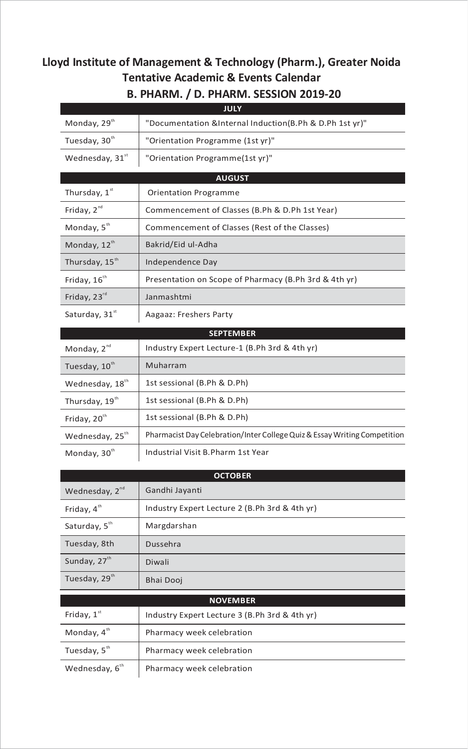## **Lloyd Institute of Management & Technology (Pharm.), Greater Noida Tentative Academic & Events Calendar**

| <b>JULY</b>                 |                                                                           |
|-----------------------------|---------------------------------------------------------------------------|
| Monday, 29 <sup>th</sup>    | "Documentation &Internal Induction(B.Ph & D.Ph 1st yr)"                   |
| Tuesday, 30th               | "Orientation Programme (1st yr)"                                          |
| Wednesday, 31st             | "Orientation Programme(1st yr)"                                           |
|                             | <b>AUGUST</b>                                                             |
| Thursday, 1st               | Orientation Programme                                                     |
| Friday, 2 <sup>nd</sup>     | Commencement of Classes (B.Ph & D.Ph 1st Year)                            |
| Monday, 5 <sup>th</sup>     | Commencement of Classes (Rest of the Classes)                             |
| Monday, 12th                | Bakrid/Eid ul-Adha                                                        |
| Thursday, 15 <sup>th</sup>  | Independence Day                                                          |
| Friday, 16 <sup>th</sup>    | Presentation on Scope of Pharmacy (B.Ph 3rd & 4th yr)                     |
| Friday, 23rd                | Janmashtmi                                                                |
| Saturday, 31st              | Aagaaz: Freshers Party                                                    |
|                             | <b>SEPTEMBER</b>                                                          |
| Monday, 2 <sup>nd</sup>     | Industry Expert Lecture-1 (B.Ph 3rd & 4th yr)                             |
| Tuesday, 10th               | Muharram                                                                  |
| Wednesday, 18th             | 1st sessional (B.Ph & D.Ph)                                               |
| Thursday, 19th              | 1st sessional (B.Ph & D.Ph)                                               |
| Friday, 20 <sup>th</sup>    | 1st sessional (B.Ph & D.Ph)                                               |
| Wednesday, 25 <sup>th</sup> | Pharmacist Day Celebration/Inter College Quiz & Essay Writing Competition |
| Monday, 30th                | Industrial Visit B. Pharm 1st Year                                        |

## **B. PHARM. / D. PHARM. SESSION 2019‐20**

| <b>OCTOBER</b>             |                                               |
|----------------------------|-----------------------------------------------|
| Wednesday, 2 <sup>nd</sup> | Gandhi Jayanti                                |
| Friday, $4th$              | Industry Expert Lecture 2 (B.Ph 3rd & 4th yr) |
| Saturday, 5th              | Margdarshan                                   |
| Tuesday, 8th               | Dussehra                                      |
| Sunday, 27 <sup>th</sup>   | Diwali                                        |
| Tuesday, 29th              | Bhai Dooj                                     |
| <b>NOVEMBER</b>            |                                               |
| Friday, $1st$              | Industry Expert Lecture 3 (B.Ph 3rd & 4th yr) |
| Monday, $4th$              | Pharmacy week celebration                     |

Tuesday,  $5<sup>th</sup>$  Pharmacy week celebration Wednesday,  $6<sup>th</sup>$  Pharmacy week celebration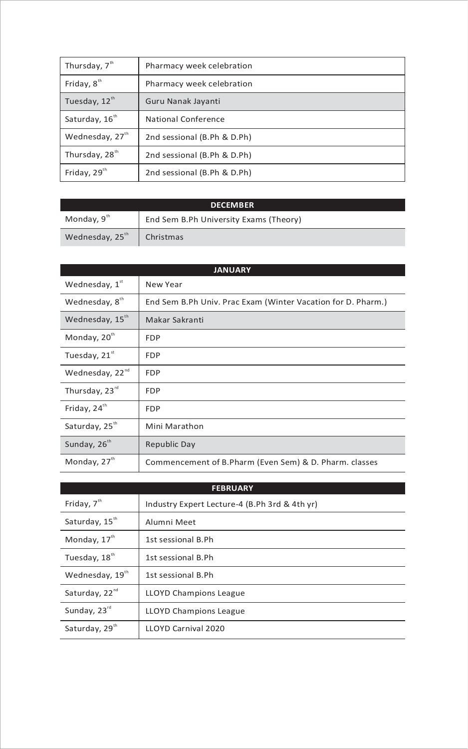| Thursday, 7 <sup>th</sup>  | Pharmacy week celebration   |
|----------------------------|-----------------------------|
| Friday, $8th$              | Pharmacy week celebration   |
| Tuesday, 12 <sup>th</sup>  | Guru Nanak Jayanti          |
| Saturday, 16 <sup>th</sup> | National Conference         |
| Wednesday, 27th            | 2nd sessional (B.Ph & D.Ph) |
| Thursday, 28 <sup>th</sup> | 2nd sessional (B.Ph & D.Ph) |
| Friday, 29 <sup>th</sup>   | 2nd sessional (B.Ph & D.Ph) |

| <b>DECEMBER</b>             |                                        |
|-----------------------------|----------------------------------------|
| Monday, 9 <sup>th</sup>     | End Sem B.Ph University Exams (Theory) |
| Wednesday, 25 <sup>th</sup> | Christmas                              |

| <b>JANUARY</b>              |                                                              |
|-----------------------------|--------------------------------------------------------------|
| Wednesday, 1st              | New Year                                                     |
| Wednesday, 8th              | End Sem B.Ph Univ. Prac Exam (Winter Vacation for D. Pharm.) |
| Wednesday, 15 <sup>th</sup> | Makar Sakranti                                               |
| Monday, 20 <sup>th</sup>    | <b>FDP</b>                                                   |
| Tuesday, 21st               | <b>FDP</b>                                                   |
| Wednesday, 22 <sup>nd</sup> | <b>FDP</b>                                                   |
| Thursday, 23rd              | <b>FDP</b>                                                   |
| Friday, 24 <sup>th</sup>    | <b>FDP</b>                                                   |
| Saturday, 25 <sup>th</sup>  | Mini Marathon                                                |
| Sunday, 26 <sup>th</sup>    | Republic Day                                                 |
| Monday, 27th                | Commencement of B. Pharm (Even Sem) & D. Pharm. classes      |

| <b>FEBRUARY</b>            |                                               |
|----------------------------|-----------------------------------------------|
| Friday, 7 <sup>th</sup>    | Industry Expert Lecture-4 (B.Ph 3rd & 4th yr) |
| Saturday, 15th             | Alumni Meet                                   |
| Monday, 17th               | 1st sessional B.Ph                            |
| Tuesday, 18th              | 1st sessional B.Ph                            |
| Wednesday, 19th            | 1st sessional B.Ph                            |
| Saturday, 22 <sup>nd</sup> | <b>LLOYD Champions League</b>                 |
| Sunday, 23 <sup>rd</sup>   | <b>LLOYD Champions League</b>                 |
| Saturday, 29th             | LLOYD Carnival 2020                           |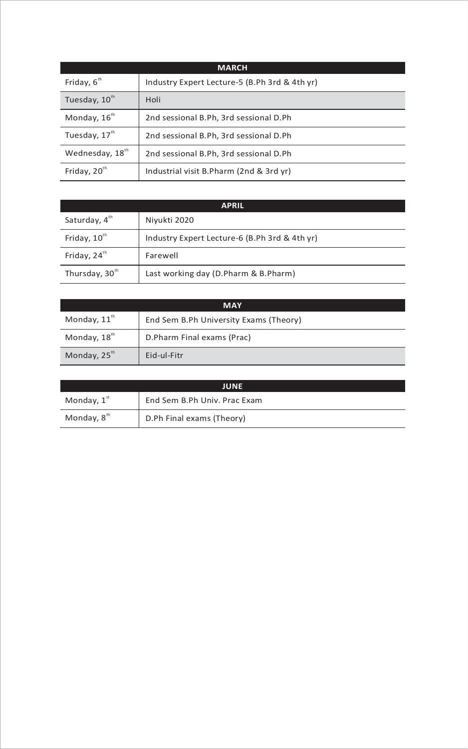| <b>MARCH</b>                |                                               |
|-----------------------------|-----------------------------------------------|
| Friday, $6th$               | Industry Expert Lecture-5 (B.Ph 3rd & 4th yr) |
| Tuesday, 10th               | Holi                                          |
| Monday, 16 <sup>th</sup>    | 2nd sessional B.Ph, 3rd sessional D.Ph        |
| Tuesday, 17 <sup>th</sup>   | 2nd sessional B.Ph, 3rd sessional D.Ph        |
| Wednesday, 18 <sup>th</sup> | 2nd sessional B.Ph, 3rd sessional D.Ph        |
| Friday, 20 <sup>th</sup>    | Industrial visit B.Pharm (2nd & 3rd yr)       |

| <b>APRIL</b>               |                                               |
|----------------------------|-----------------------------------------------|
| Saturday, 4th              | Niyukti 2020                                  |
| Friday, 10th               | Industry Expert Lecture-6 (B.Ph 3rd & 4th yr) |
| Friday, 24 <sup>th</sup>   | Farewell                                      |
| Thursday, 30 <sup>th</sup> | Last working day (D.Pharm & B.Pharm)          |

| <b>MAY</b>               |                                        |
|--------------------------|----------------------------------------|
| Monday, $11^{\text{th}}$ | End Sem B.Ph University Exams (Theory) |
| Monday, 18 <sup>th</sup> | D.Pharm Final exams (Prac)             |
| Monday, 25 <sup>th</sup> | Eid-ul-Fitr                            |

| <b>JUNE</b>             |                              |
|-------------------------|------------------------------|
| Monday, $1st$           | End Sem B.Ph Univ. Prac Exam |
| Monday, 8 <sup>th</sup> | D.Ph Final exams (Theory)    |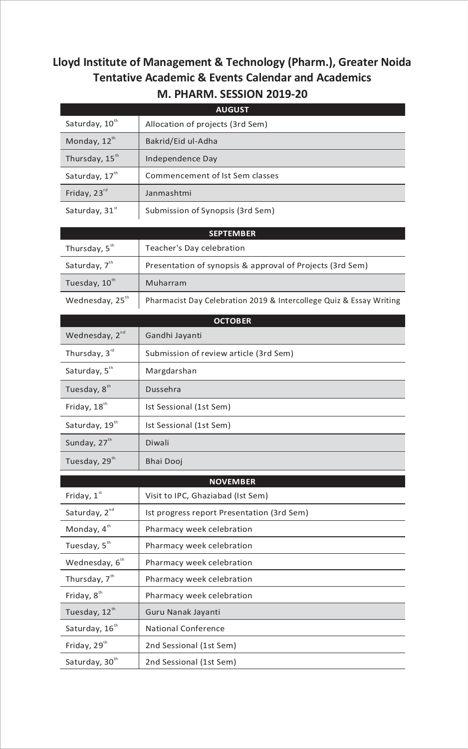## **Lloyd Institute of Management & Technology (Pharm.), Greater Noida Tentative Academic & Events Calendar and Academics M. PHARM. SESSION 2019‐20**

|                             | <b>AUGUST</b>                                                       |
|-----------------------------|---------------------------------------------------------------------|
| Saturday, 10th              | Allocation of projects (3rd Sem)                                    |
| Monday, 12th                | Bakrid/Eid ul-Adha                                                  |
| Thursday, 15 <sup>th</sup>  | Independence Day                                                    |
| Saturday, 17 <sup>th</sup>  | Commencement of Ist Sem classes                                     |
| Friday, 23rd                | Janmashtmi                                                          |
| Saturday, 31st              | Submission of Synopsis (3rd Sem)                                    |
|                             | <b>SEPTEMBER</b>                                                    |
| Thursday, 5 <sup>th</sup>   | Teacher's Day celebration                                           |
| Saturday, 7 <sup>th</sup>   | Presentation of synopsis & approval of Projects (3rd Sem)           |
| Tuesday, 10th               | Muharram                                                            |
| Wednesday, 25 <sup>th</sup> | Pharmacist Day Celebration 2019 & Intercollege Quiz & Essay Writing |
|                             | <b>OCTOBER</b>                                                      |
| Wednesday, 2 <sup>nd</sup>  | Gandhi Jayanti                                                      |
| Thursday, 3rd               | Submission of review article (3rd Sem)                              |
| Saturday, 5th               | Margdarshan                                                         |
| Tuesday, 8 <sup>th</sup>    | Dussehra                                                            |
| Friday, 18th                | Ist Sessional (1st Sem)                                             |
| Saturday, 19th              | Ist Sessional (1st Sem)                                             |
| Sunday, 27th                | Diwali                                                              |
| Tuesday, $29m$              | Bhai Dooj                                                           |
|                             | <b>NOVEMBER</b>                                                     |
| Friday, 1st                 | Visit to IPC, Ghaziabad (Ist Sem)                                   |
| Saturday, 2 <sup>nd</sup>   | Ist progress report Presentation (3rd Sem)                          |
| Monday, 4th                 | Pharmacy week celebration                                           |
| Tuesday, 5 <sup>th</sup>    | Pharmacy week celebration                                           |
| Wednesday, 6 <sup>th</sup>  | Pharmacy week celebration                                           |
| Thursday, 7 <sup>th</sup>   | Pharmacy week celebration                                           |
| Friday, 8 <sup>th</sup>     | Pharmacy week celebration                                           |
| Tuesday, 12th               | Guru Nanak Jayanti                                                  |
| Saturday, 16 <sup>th</sup>  | <b>National Conference</b>                                          |
| Friday, 29th                | 2nd Sessional (1st Sem)                                             |
| Saturday, 30th              | 2nd Sessional (1st Sem)                                             |